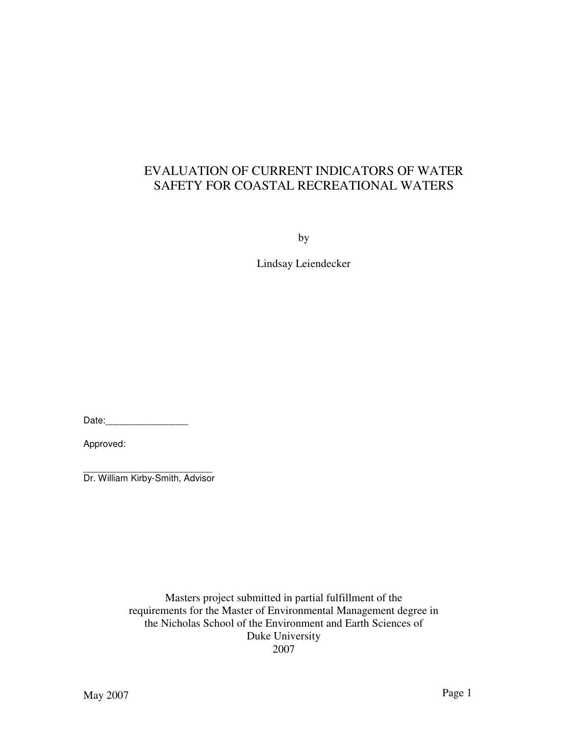# EVALUATION OF CURRENT INDICATORS OF WATER SAFETY FOR COASTAL RECREATIONAL WATERS

by

Lindsay Leiendecker

Date:\_\_\_\_\_\_\_\_\_\_\_\_\_\_\_\_

Approved:

\_\_\_\_\_\_\_\_\_\_\_\_\_\_\_\_\_\_\_\_\_\_\_\_\_ Dr. William Kirby-Smith, Advisor

> Masters project submitted in partial fulfillment of the requirements for the Master of Environmental Management degree in the Nicholas School of the Environment and Earth Sciences of Duke University 2007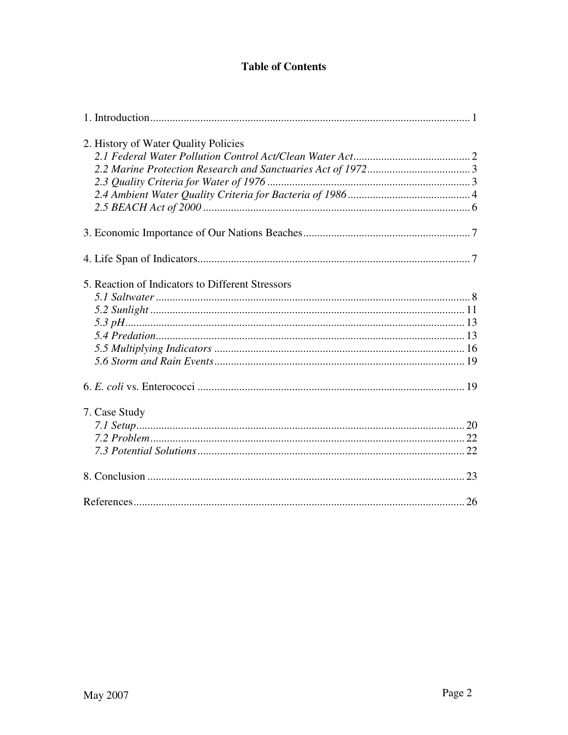## **Table of Contents**

| 2. History of Water Quality Policies             |    |
|--------------------------------------------------|----|
|                                                  |    |
|                                                  |    |
|                                                  |    |
|                                                  |    |
|                                                  |    |
|                                                  |    |
|                                                  |    |
| 5. Reaction of Indicators to Different Stressors |    |
|                                                  |    |
|                                                  |    |
|                                                  |    |
|                                                  |    |
|                                                  |    |
|                                                  |    |
|                                                  |    |
| 7. Case Study                                    |    |
|                                                  |    |
|                                                  |    |
|                                                  |    |
|                                                  |    |
| References                                       | 26 |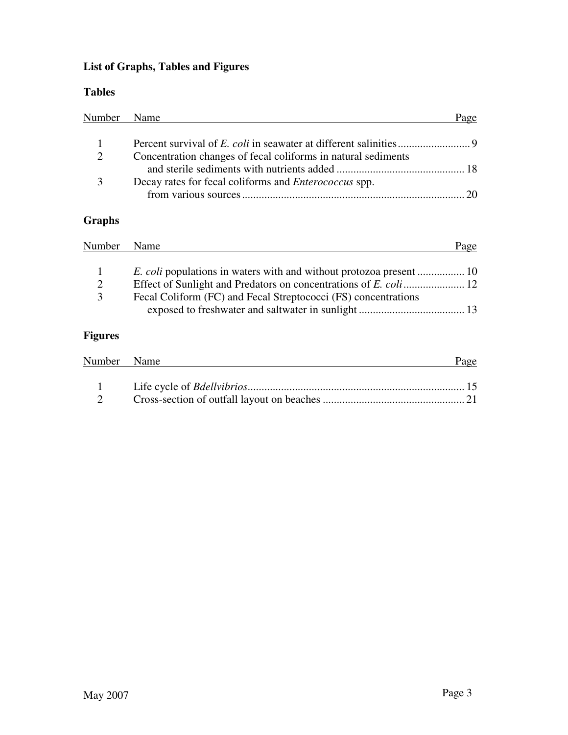# **List of Graphs, Tables and Figures**

## **Tables**

| Number Name |                                                               | Page         |
|-------------|---------------------------------------------------------------|--------------|
|             |                                                               |              |
| 2           | Concentration changes of fecal coliforms in natural sediments |              |
|             |                                                               |              |
|             | Decay rates for fecal coliforms and <i>Enterococcus</i> spp.  |              |
|             |                                                               | $20^{\circ}$ |

## **Graphs**

| Number | Name                                                           | Page |
|--------|----------------------------------------------------------------|------|
|        |                                                                |      |
| 2      |                                                                |      |
| 3      | Fecal Coliform (FC) and Fecal Streptococci (FS) concentrations |      |

# **Figures**

| Number Name | Page |
|-------------|------|
|             |      |
|             |      |
|             |      |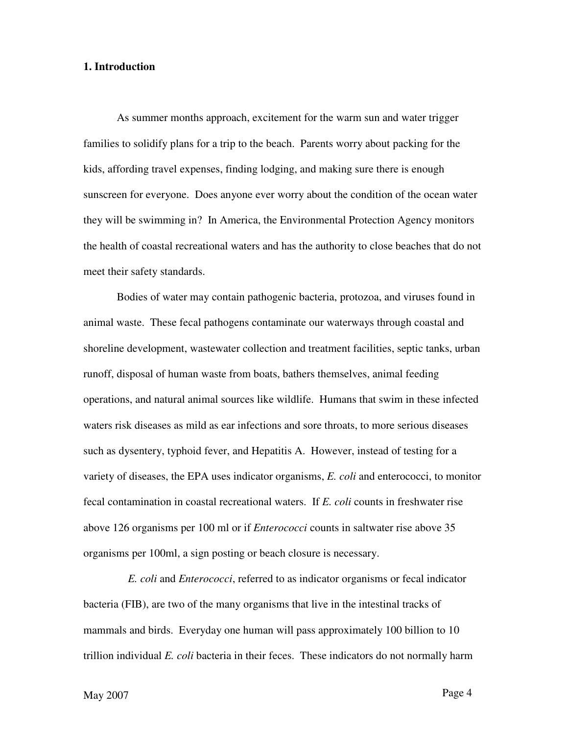## **1. Introduction**

As summer months approach, excitement for the warm sun and water trigger families to solidify plans for a trip to the beach. Parents worry about packing for the kids, affording travel expenses, finding lodging, and making sure there is enough sunscreen for everyone. Does anyone ever worry about the condition of the ocean water they will be swimming in? In America, the Environmental Protection Agency monitors the health of coastal recreational waters and has the authority to close beaches that do not meet their safety standards.

Bodies of water may contain pathogenic bacteria, protozoa, and viruses found in animal waste. These fecal pathogens contaminate our waterways through coastal and shoreline development, wastewater collection and treatment facilities, septic tanks, urban runoff, disposal of human waste from boats, bathers themselves, animal feeding operations, and natural animal sources like wildlife. Humans that swim in these infected waters risk diseases as mild as ear infections and sore throats, to more serious diseases such as dysentery, typhoid fever, and Hepatitis A. However, instead of testing for a variety of diseases, the EPA uses indicator organisms, *E. coli* and enterococci, to monitor fecal contamination in coastal recreational waters. If *E. coli* counts in freshwater rise above 126 organisms per 100 ml or if *Enterococci* counts in saltwater rise above 35 organisms per 100ml, a sign posting or beach closure is necessary.

 *E. coli* and *Enterococci*, referred to as indicator organisms or fecal indicator bacteria (FIB), are two of the many organisms that live in the intestinal tracks of mammals and birds. Everyday one human will pass approximately 100 billion to 10 trillion individual *E. coli* bacteria in their feces. These indicators do not normally harm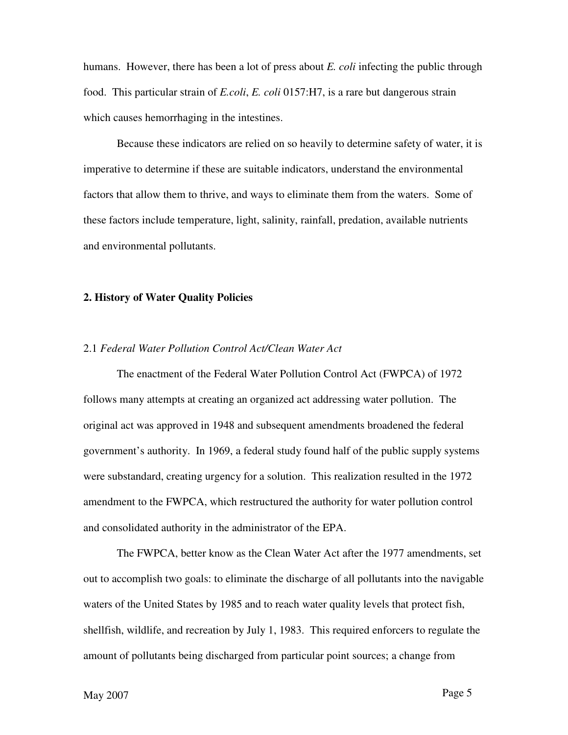humans. However, there has been a lot of press about *E. coli* infecting the public through food. This particular strain of *E.coli*, *E. coli* 0157:H7, is a rare but dangerous strain which causes hemorrhaging in the intestines.

Because these indicators are relied on so heavily to determine safety of water, it is imperative to determine if these are suitable indicators, understand the environmental factors that allow them to thrive, and ways to eliminate them from the waters. Some of these factors include temperature, light, salinity, rainfall, predation, available nutrients and environmental pollutants.

#### **2. History of Water Quality Policies**

#### 2.1 *Federal Water Pollution Control Act/Clean Water Act*

The enactment of the Federal Water Pollution Control Act (FWPCA) of 1972 follows many attempts at creating an organized act addressing water pollution. The original act was approved in 1948 and subsequent amendments broadened the federal government's authority. In 1969, a federal study found half of the public supply systems were substandard, creating urgency for a solution. This realization resulted in the 1972 amendment to the FWPCA, which restructured the authority for water pollution control and consolidated authority in the administrator of the EPA.

The FWPCA, better know as the Clean Water Act after the 1977 amendments, set out to accomplish two goals: to eliminate the discharge of all pollutants into the navigable waters of the United States by 1985 and to reach water quality levels that protect fish, shellfish, wildlife, and recreation by July 1, 1983. This required enforcers to regulate the amount of pollutants being discharged from particular point sources; a change from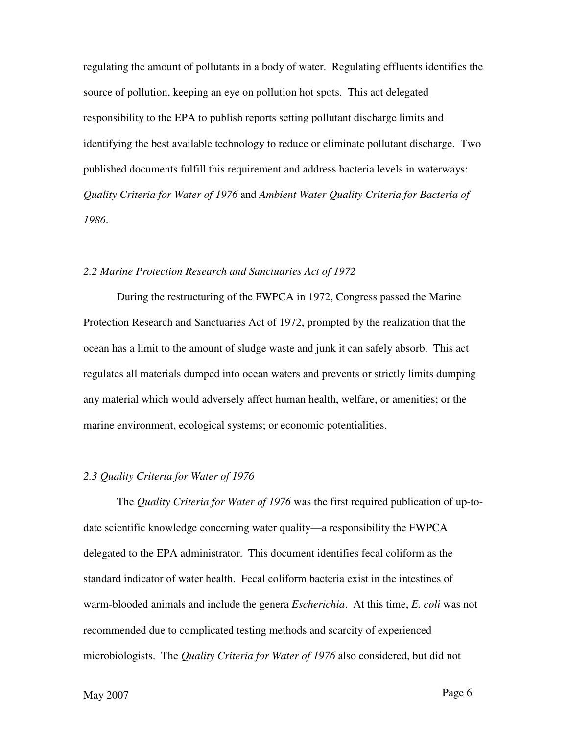regulating the amount of pollutants in a body of water. Regulating effluents identifies the source of pollution, keeping an eye on pollution hot spots. This act delegated responsibility to the EPA to publish reports setting pollutant discharge limits and identifying the best available technology to reduce or eliminate pollutant discharge. Two published documents fulfill this requirement and address bacteria levels in waterways: *Quality Criteria for Water of 1976* and *Ambient Water Quality Criteria for Bacteria of 1986*.

#### *2.2 Marine Protection Research and Sanctuaries Act of 1972*

During the restructuring of the FWPCA in 1972, Congress passed the Marine Protection Research and Sanctuaries Act of 1972, prompted by the realization that the ocean has a limit to the amount of sludge waste and junk it can safely absorb. This act regulates all materials dumped into ocean waters and prevents or strictly limits dumping any material which would adversely affect human health, welfare, or amenities; or the marine environment, ecological systems; or economic potentialities.

## *2.3 Quality Criteria for Water of 1976*

The *Quality Criteria for Water of 1976* was the first required publication of up-todate scientific knowledge concerning water quality—a responsibility the FWPCA delegated to the EPA administrator. This document identifies fecal coliform as the standard indicator of water health. Fecal coliform bacteria exist in the intestines of warm-blooded animals and include the genera *Escherichia*. At this time, *E. coli* was not recommended due to complicated testing methods and scarcity of experienced microbiologists. The *Quality Criteria for Water of 1976* also considered, but did not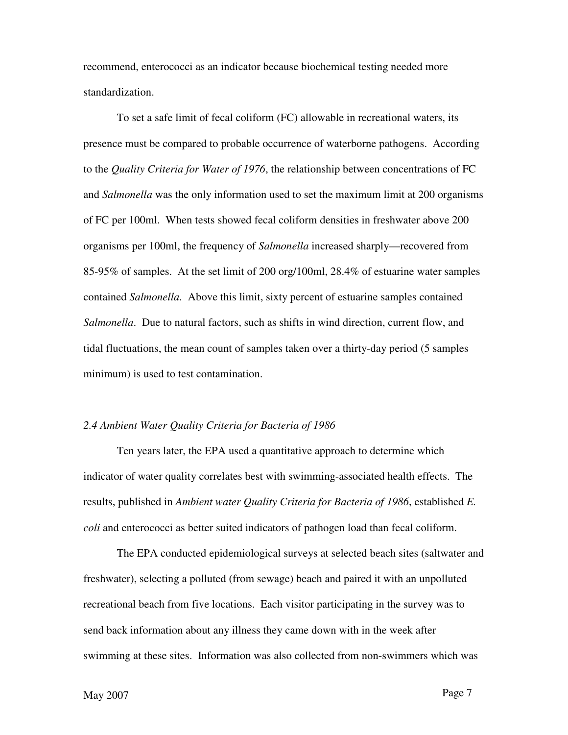recommend, enterococci as an indicator because biochemical testing needed more standardization.

To set a safe limit of fecal coliform (FC) allowable in recreational waters, its presence must be compared to probable occurrence of waterborne pathogens. According to the *Quality Criteria for Water of 1976*, the relationship between concentrations of FC and *Salmonella* was the only information used to set the maximum limit at 200 organisms of FC per 100ml. When tests showed fecal coliform densities in freshwater above 200 organisms per 100ml, the frequency of *Salmonella* increased sharply—recovered from 85-95% of samples. At the set limit of 200 org/100ml, 28.4% of estuarine water samples contained *Salmonella.* Above this limit, sixty percent of estuarine samples contained *Salmonella*. Due to natural factors, such as shifts in wind direction, current flow, and tidal fluctuations, the mean count of samples taken over a thirty-day period (5 samples minimum) is used to test contamination.

#### *2.4 Ambient Water Quality Criteria for Bacteria of 1986*

Ten years later, the EPA used a quantitative approach to determine which indicator of water quality correlates best with swimming-associated health effects. The results, published in *Ambient water Quality Criteria for Bacteria of 1986*, established *E. coli* and enterococci as better suited indicators of pathogen load than fecal coliform.

The EPA conducted epidemiological surveys at selected beach sites (saltwater and freshwater), selecting a polluted (from sewage) beach and paired it with an unpolluted recreational beach from five locations. Each visitor participating in the survey was to send back information about any illness they came down with in the week after swimming at these sites. Information was also collected from non-swimmers which was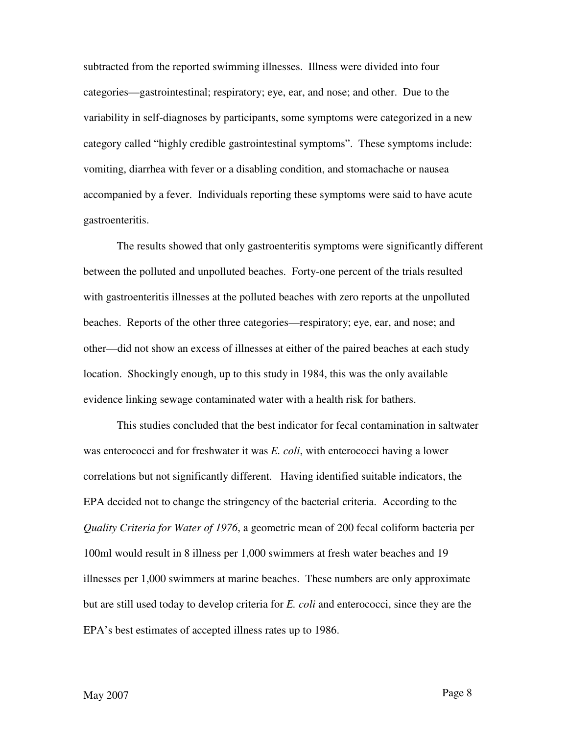subtracted from the reported swimming illnesses. Illness were divided into four categories—gastrointestinal; respiratory; eye, ear, and nose; and other. Due to the variability in self-diagnoses by participants, some symptoms were categorized in a new category called "highly credible gastrointestinal symptoms". These symptoms include: vomiting, diarrhea with fever or a disabling condition, and stomachache or nausea accompanied by a fever. Individuals reporting these symptoms were said to have acute gastroenteritis.

The results showed that only gastroenteritis symptoms were significantly different between the polluted and unpolluted beaches. Forty-one percent of the trials resulted with gastroenteritis illnesses at the polluted beaches with zero reports at the unpolluted beaches. Reports of the other three categories—respiratory; eye, ear, and nose; and other—did not show an excess of illnesses at either of the paired beaches at each study location. Shockingly enough, up to this study in 1984, this was the only available evidence linking sewage contaminated water with a health risk for bathers.

This studies concluded that the best indicator for fecal contamination in saltwater was enterococci and for freshwater it was *E. coli*, with enterococci having a lower correlations but not significantly different. Having identified suitable indicators, the EPA decided not to change the stringency of the bacterial criteria. According to the *Quality Criteria for Water of 1976*, a geometric mean of 200 fecal coliform bacteria per 100ml would result in 8 illness per 1,000 swimmers at fresh water beaches and 19 illnesses per 1,000 swimmers at marine beaches. These numbers are only approximate but are still used today to develop criteria for *E. coli* and enterococci, since they are the EPA's best estimates of accepted illness rates up to 1986.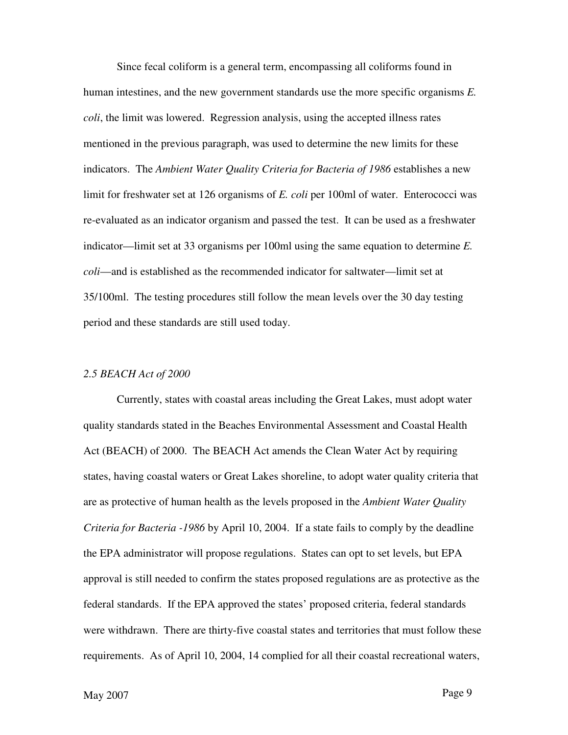Since fecal coliform is a general term, encompassing all coliforms found in human intestines, and the new government standards use the more specific organisms *E. coli*, the limit was lowered. Regression analysis, using the accepted illness rates mentioned in the previous paragraph, was used to determine the new limits for these indicators. The *Ambient Water Quality Criteria for Bacteria of 1986* establishes a new limit for freshwater set at 126 organisms of *E. coli* per 100ml of water. Enterococci was re-evaluated as an indicator organism and passed the test. It can be used as a freshwater indicator—limit set at 33 organisms per 100ml using the same equation to determine *E. coli*—and is established as the recommended indicator for saltwater—limit set at 35/100ml. The testing procedures still follow the mean levels over the 30 day testing period and these standards are still used today.

#### *2.5 BEACH Act of 2000*

Currently, states with coastal areas including the Great Lakes, must adopt water quality standards stated in the Beaches Environmental Assessment and Coastal Health Act (BEACH) of 2000. The BEACH Act amends the Clean Water Act by requiring states, having coastal waters or Great Lakes shoreline, to adopt water quality criteria that are as protective of human health as the levels proposed in the *Ambient Water Quality Criteria for Bacteria -1986* by April 10, 2004. If a state fails to comply by the deadline the EPA administrator will propose regulations. States can opt to set levels, but EPA approval is still needed to confirm the states proposed regulations are as protective as the federal standards. If the EPA approved the states' proposed criteria, federal standards were withdrawn. There are thirty-five coastal states and territories that must follow these requirements. As of April 10, 2004, 14 complied for all their coastal recreational waters,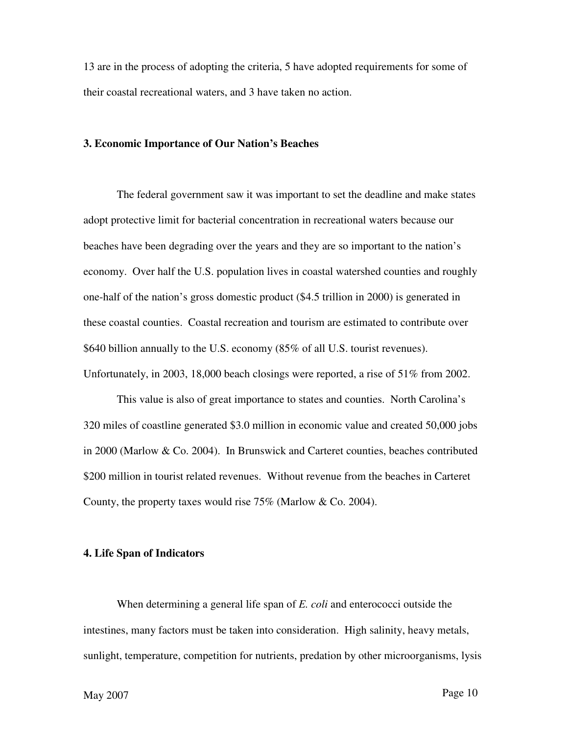13 are in the process of adopting the criteria, 5 have adopted requirements for some of their coastal recreational waters, and 3 have taken no action.

#### **3. Economic Importance of Our Nation's Beaches**

The federal government saw it was important to set the deadline and make states adopt protective limit for bacterial concentration in recreational waters because our beaches have been degrading over the years and they are so important to the nation's economy. Over half the U.S. population lives in coastal watershed counties and roughly one-half of the nation's gross domestic product (\$4.5 trillion in 2000) is generated in these coastal counties. Coastal recreation and tourism are estimated to contribute over \$640 billion annually to the U.S. economy (85% of all U.S. tourist revenues). Unfortunately, in 2003, 18,000 beach closings were reported, a rise of 51% from 2002.

 This value is also of great importance to states and counties. North Carolina's 320 miles of coastline generated \$3.0 million in economic value and created 50,000 jobs in 2000 (Marlow & Co. 2004). In Brunswick and Carteret counties, beaches contributed \$200 million in tourist related revenues. Without revenue from the beaches in Carteret County, the property taxes would rise 75% (Marlow & Co. 2004).

#### **4. Life Span of Indicators**

When determining a general life span of *E. coli* and enterococci outside the intestines, many factors must be taken into consideration. High salinity, heavy metals, sunlight, temperature, competition for nutrients, predation by other microorganisms, lysis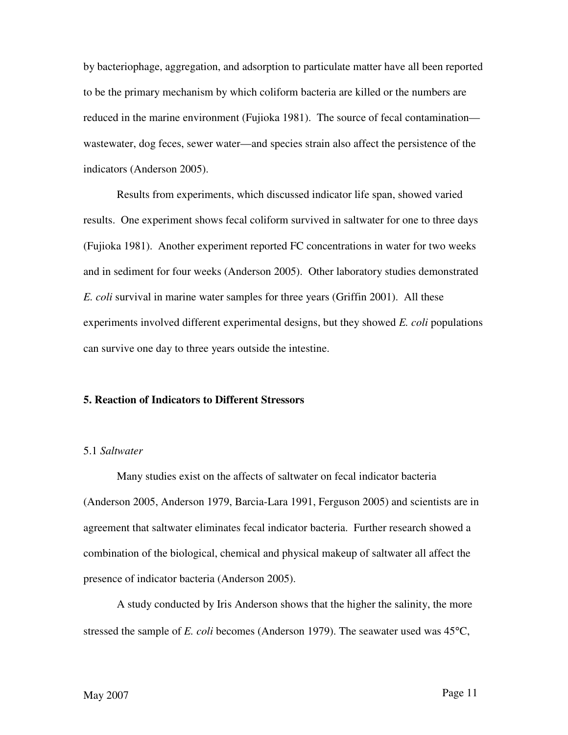by bacteriophage, aggregation, and adsorption to particulate matter have all been reported to be the primary mechanism by which coliform bacteria are killed or the numbers are reduced in the marine environment (Fujioka 1981). The source of fecal contamination wastewater, dog feces, sewer water—and species strain also affect the persistence of the indicators (Anderson 2005).

Results from experiments, which discussed indicator life span, showed varied results. One experiment shows fecal coliform survived in saltwater for one to three days (Fujioka 1981). Another experiment reported FC concentrations in water for two weeks and in sediment for four weeks (Anderson 2005). Other laboratory studies demonstrated *E. coli* survival in marine water samples for three years (Griffin 2001). All these experiments involved different experimental designs, but they showed *E. coli* populations can survive one day to three years outside the intestine.

#### **5. Reaction of Indicators to Different Stressors**

## 5.1 *Saltwater*

Many studies exist on the affects of saltwater on fecal indicator bacteria (Anderson 2005, Anderson 1979, Barcia-Lara 1991, Ferguson 2005) and scientists are in agreement that saltwater eliminates fecal indicator bacteria. Further research showed a combination of the biological, chemical and physical makeup of saltwater all affect the presence of indicator bacteria (Anderson 2005).

A study conducted by Iris Anderson shows that the higher the salinity, the more stressed the sample of *E. coli* becomes (Anderson 1979). The seawater used was 45°C,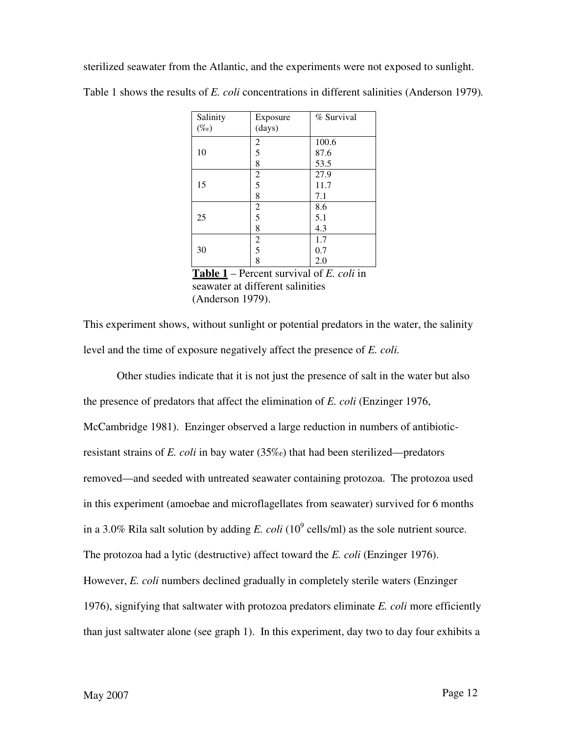sterilized seawater from the Atlantic, and the experiments were not exposed to sunlight.

| Salinity<br>$(\%o)$ | Exposure<br>(days) | % Survival |
|---------------------|--------------------|------------|
|                     | $rac{2}{5}$        | 100.6      |
| 10                  |                    | 87.6       |
|                     | 8                  | 53.5       |
|                     | $rac{2}{5}$        | 27.9       |
| 15                  |                    | 11.7       |
|                     | 8                  | 7.1        |
|                     |                    | 8.6        |
| 25                  | $rac{2}{5}$        | 5.1        |
|                     | 8                  | 4.3        |
|                     | $\frac{2}{5}$      | 1.7        |
| 30                  |                    | 0.7        |
|                     | 8                  | 2.0        |

Table 1 shows the results of *E. coli* concentrations in different salinities (Anderson 1979)*.* 

**Table 1** – Percent survival of *E. coli* in seawater at different salinities (Anderson 1979).

This experiment shows, without sunlight or potential predators in the water, the salinity level and the time of exposure negatively affect the presence of *E. coli.*

Other studies indicate that it is not just the presence of salt in the water but also the presence of predators that affect the elimination of *E. coli* (Enzinger 1976, McCambridge 1981). Enzinger observed a large reduction in numbers of antibioticresistant strains of *E. coli* in bay water (35‰) that had been sterilized—predators removed—and seeded with untreated seawater containing protozoa. The protozoa used in this experiment (amoebae and microflagellates from seawater) survived for 6 months in a 3.0% Rila salt solution by adding *E. coli* (10<sup>9</sup> cells/ml) as the sole nutrient source. The protozoa had a lytic (destructive) affect toward the *E. coli* (Enzinger 1976). However, *E. coli* numbers declined gradually in completely sterile waters (Enzinger 1976), signifying that saltwater with protozoa predators eliminate *E. coli* more efficiently than just saltwater alone (see graph 1). In this experiment, day two to day four exhibits a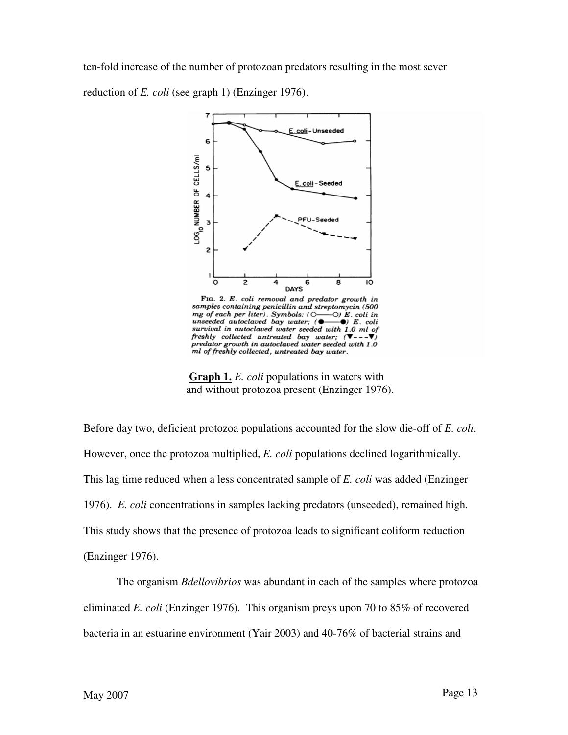ten-fold increase of the number of protozoan predators resulting in the most sever reduction of *E. coli* (see graph 1) (Enzinger 1976).



FIG. 2. E. coli removal and predator growth in samples containing penicillin and streptomycin (500 sumples containing penicular and str<br>mg of each per liter). Symbols: (0-<br>unseeded autoclaved bay water; (  $\odot$ )  $\tilde{E}$ . coli in  $\bullet$  E. coli survival in autoclaved water seeded with 1.0 ml of<br>freshly collected untreated bay water;  $(\nabla - -\nabla)$  $\begin{small} \textit{predator} \textit{growth in autoclaved water seeded with 1.0} \\ \textit{ml of freshly collected, untreated bay water.} \end{small}$ 

 **Graph 1.** *E. coli* populations in waters with and without protozoa present (Enzinger 1976).

Before day two, deficient protozoa populations accounted for the slow die-off of *E. coli*. However, once the protozoa multiplied, *E. coli* populations declined logarithmically. This lag time reduced when a less concentrated sample of *E. coli* was added (Enzinger 1976). *E. coli* concentrations in samples lacking predators (unseeded), remained high. This study shows that the presence of protozoa leads to significant coliform reduction (Enzinger 1976).

The organism *Bdellovibrios* was abundant in each of the samples where protozoa eliminated *E. coli* (Enzinger 1976). This organism preys upon 70 to 85% of recovered bacteria in an estuarine environment (Yair 2003) and 40-76% of bacterial strains and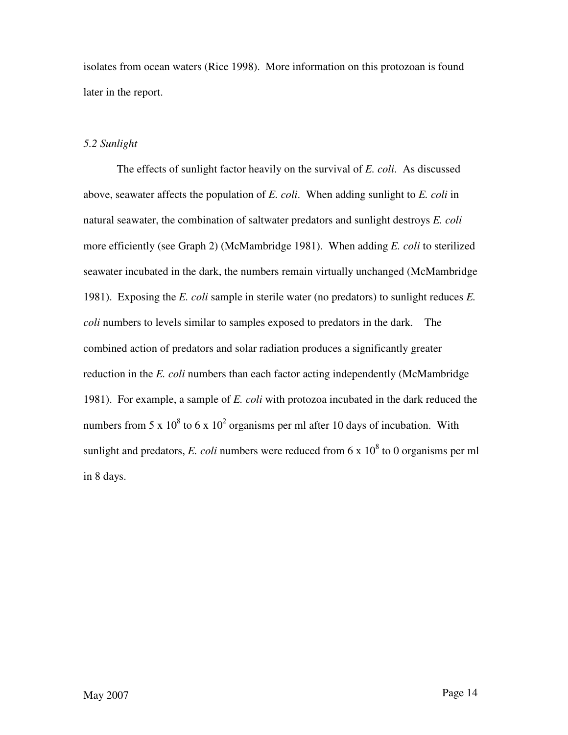isolates from ocean waters (Rice 1998). More information on this protozoan is found later in the report.

## *5.2 Sunlight*

The effects of sunlight factor heavily on the survival of *E. coli*. As discussed above, seawater affects the population of *E. coli*. When adding sunlight to *E. coli* in natural seawater, the combination of saltwater predators and sunlight destroys *E. coli* more efficiently (see Graph 2) (McMambridge 1981). When adding *E. coli* to sterilized seawater incubated in the dark, the numbers remain virtually unchanged (McMambridge 1981). Exposing the *E. coli* sample in sterile water (no predators) to sunlight reduces *E. coli* numbers to levels similar to samples exposed to predators in the dark. The combined action of predators and solar radiation produces a significantly greater reduction in the *E. coli* numbers than each factor acting independently (McMambridge 1981). For example, a sample of *E. coli* with protozoa incubated in the dark reduced the numbers from 5 x  $10^8$  to 6 x  $10^2$  organisms per ml after 10 days of incubation. With sunlight and predators, *E. coli* numbers were reduced from  $6 \times 10^8$  to 0 organisms per ml in 8 days.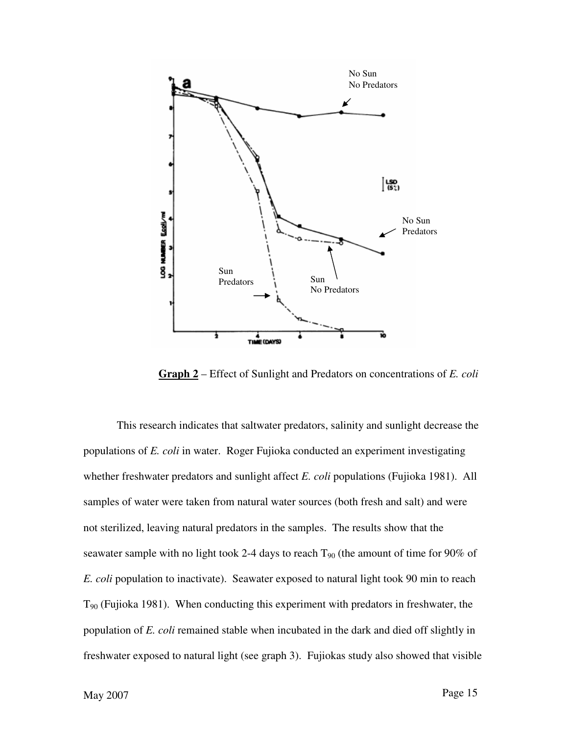

**Graph 2** – Effect of Sunlight and Predators on concentrations of *E. coli*

No. Sun<br>
Baggard and Theodators<br>
Theodators<br>
Theodators<br>
Theodators<br>
Theodators<br>
Theodators<br>
Theodators<br>
Theodators<br>
Theodators<br>
Theodators<br>
This research indicates that saltwater predators, salinity and smnlight decrease This research indicates that saltwater predators, salinity and sunlight decrease the populations of *E. coli* in water. Roger Fujioka conducted an experiment investigating whether freshwater predators and sunlight affect *E. coli* populations (Fujioka 1981). All samples of water were taken from natural water sources (both fresh and salt) and were not sterilized, leaving natural predators in the samples. The results show that the seawater sample with no light took 2-4 days to reach  $T_{90}$  (the amount of time for 90% of *E. coli* population to inactivate). Seawater exposed to natural light took 90 min to reach  $T_{90}$  (Fujioka 1981). When conducting this experiment with predators in freshwater, the population of *E. coli* remained stable when incubated in the dark and died off slightly in freshwater exposed to natural light (see graph 3). Fujiokas study also showed that visible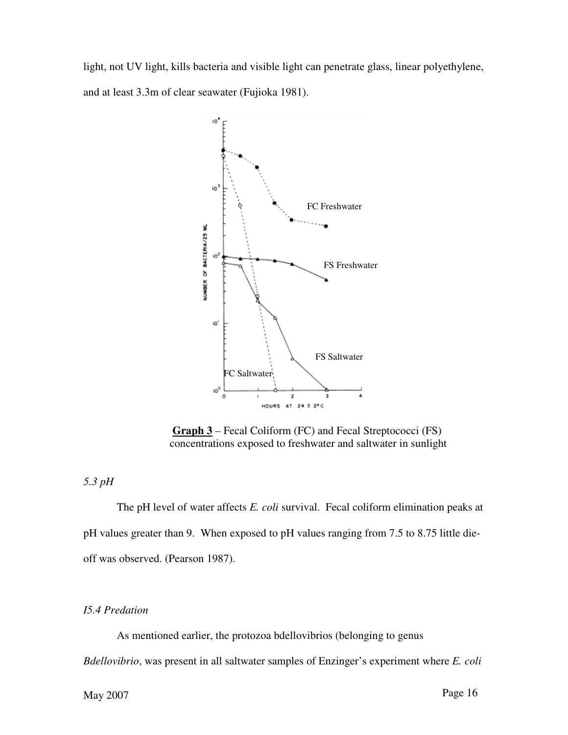light, not UV light, kills bacteria and visible light can penetrate glass, linear polyethylene, and at least 3.3m of clear seawater (Fujioka 1981).



 **Graph 3** – Fecal Coliform (FC) and Fecal Streptococci (FS) concentrations exposed to freshwater and saltwater in sunlight

## *5.3 pH*

The pH level of water affects *E. coli* survival. Fecal coliform elimination peaks at pH values greater than 9. When exposed to pH values ranging from 7.5 to 8.75 little dieoff was observed. (Pearson 1987).

## *I5.4 Predation*

As mentioned earlier, the protozoa bdellovibrios (belonging to genus *Bdellovibrio*, was present in all saltwater samples of Enzinger's experiment where *E. coli*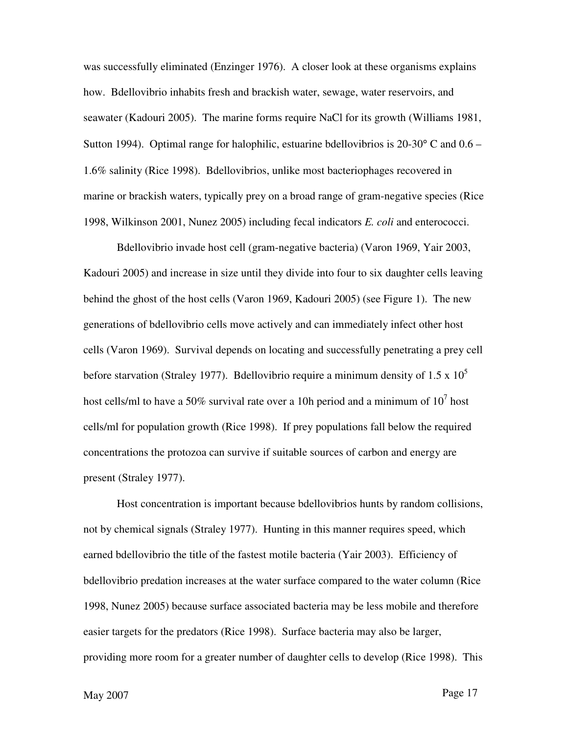was successfully eliminated (Enzinger 1976). A closer look at these organisms explains how. Bdellovibrio inhabits fresh and brackish water, sewage, water reservoirs, and seawater (Kadouri 2005). The marine forms require NaCl for its growth (Williams 1981, Sutton 1994). Optimal range for halophilic, estuarine bdellovibrios is  $20\text{-}30^{\circ}$  C and  $0.6$  – 1.6% salinity (Rice 1998). Bdellovibrios, unlike most bacteriophages recovered in marine or brackish waters, typically prey on a broad range of gram-negative species (Rice 1998, Wilkinson 2001, Nunez 2005) including fecal indicators *E. coli* and enterococci.

Bdellovibrio invade host cell (gram-negative bacteria) (Varon 1969, Yair 2003, Kadouri 2005) and increase in size until they divide into four to six daughter cells leaving behind the ghost of the host cells (Varon 1969, Kadouri 2005) (see Figure 1). The new generations of bdellovibrio cells move actively and can immediately infect other host cells (Varon 1969). Survival depends on locating and successfully penetrating a prey cell before starvation (Straley 1977). Bdellovibrio require a minimum density of 1.5 x  $10^5$ host cells/ml to have a 50% survival rate over a 10h period and a minimum of  $10^7$  host cells/ml for population growth (Rice 1998). If prey populations fall below the required concentrations the protozoa can survive if suitable sources of carbon and energy are present (Straley 1977).

Host concentration is important because bdellovibrios hunts by random collisions, not by chemical signals (Straley 1977). Hunting in this manner requires speed, which earned bdellovibrio the title of the fastest motile bacteria (Yair 2003). Efficiency of bdellovibrio predation increases at the water surface compared to the water column (Rice 1998, Nunez 2005) because surface associated bacteria may be less mobile and therefore easier targets for the predators (Rice 1998). Surface bacteria may also be larger, providing more room for a greater number of daughter cells to develop (Rice 1998). This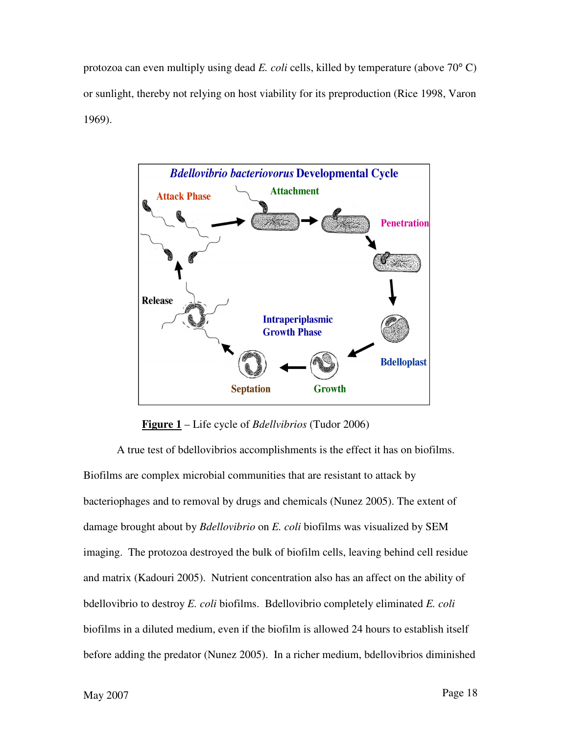protozoa can even multiply using dead *E. coli* cells, killed by temperature (above 70° C) or sunlight, thereby not relying on host viability for its preproduction (Rice 1998, Varon 1969).



**Figure 1** – Life cycle of *Bdellvibrios* (Tudor 2006)

A true test of bdellovibrios accomplishments is the effect it has on biofilms. Biofilms are complex microbial communities that are resistant to attack by bacteriophages and to removal by drugs and chemicals (Nunez 2005). The extent of damage brought about by *Bdellovibrio* on *E. coli* biofilms was visualized by SEM imaging. The protozoa destroyed the bulk of biofilm cells, leaving behind cell residue and matrix (Kadouri 2005). Nutrient concentration also has an affect on the ability of bdellovibrio to destroy *E. coli* biofilms. Bdellovibrio completely eliminated *E. coli*  biofilms in a diluted medium, even if the biofilm is allowed 24 hours to establish itself before adding the predator (Nunez 2005). In a richer medium, bdellovibrios diminished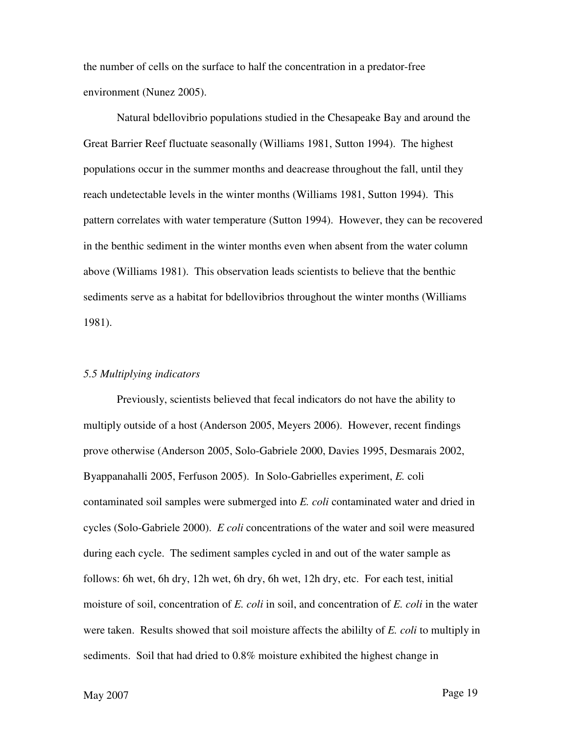the number of cells on the surface to half the concentration in a predator-free environment (Nunez 2005).

Natural bdellovibrio populations studied in the Chesapeake Bay and around the Great Barrier Reef fluctuate seasonally (Williams 1981, Sutton 1994). The highest populations occur in the summer months and deacrease throughout the fall, until they reach undetectable levels in the winter months (Williams 1981, Sutton 1994). This pattern correlates with water temperature (Sutton 1994). However, they can be recovered in the benthic sediment in the winter months even when absent from the water column above (Williams 1981). This observation leads scientists to believe that the benthic sediments serve as a habitat for bdellovibrios throughout the winter months (Williams 1981).

### *5.5 Multiplying indicators*

Previously, scientists believed that fecal indicators do not have the ability to multiply outside of a host (Anderson 2005, Meyers 2006). However, recent findings prove otherwise (Anderson 2005, Solo-Gabriele 2000, Davies 1995, Desmarais 2002, Byappanahalli 2005, Ferfuson 2005). In Solo-Gabrielles experiment, *E.* coli contaminated soil samples were submerged into *E. coli* contaminated water and dried in cycles (Solo-Gabriele 2000). *E coli* concentrations of the water and soil were measured during each cycle. The sediment samples cycled in and out of the water sample as follows: 6h wet, 6h dry, 12h wet, 6h dry, 6h wet, 12h dry, etc. For each test, initial moisture of soil, concentration of *E. coli* in soil, and concentration of *E. coli* in the water were taken. Results showed that soil moisture affects the abililty of *E. coli* to multiply in sediments. Soil that had dried to 0.8% moisture exhibited the highest change in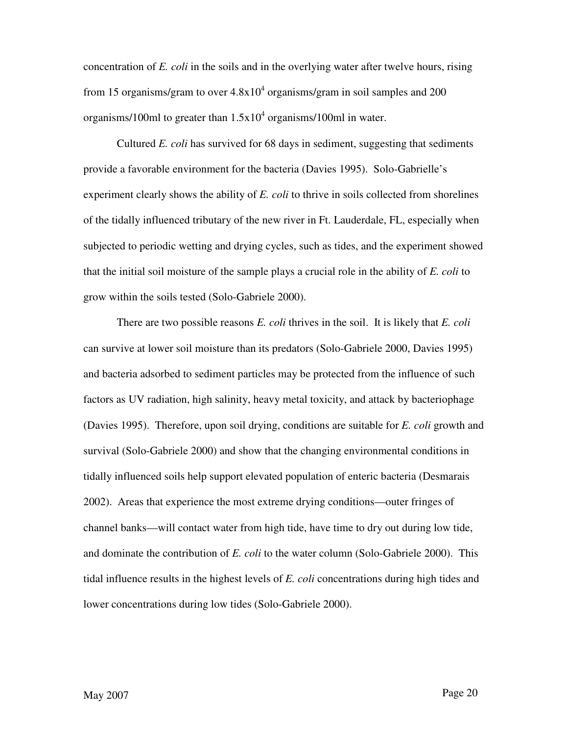concentration of *E. coli* in the soils and in the overlying water after twelve hours, rising from 15 organisms/gram to over  $4.8x10^4$  organisms/gram in soil samples and 200 organisms/100ml to greater than  $1.5x10<sup>4</sup>$  organisms/100ml in water.

Cultured *E. coli* has survived for 68 days in sediment, suggesting that sediments provide a favorable environment for the bacteria (Davies 1995). Solo-Gabrielle's experiment clearly shows the ability of *E. coli* to thrive in soils collected from shorelines of the tidally influenced tributary of the new river in Ft. Lauderdale, FL, especially when subjected to periodic wetting and drying cycles, such as tides, and the experiment showed that the initial soil moisture of the sample plays a crucial role in the ability of *E. coli* to grow within the soils tested (Solo-Gabriele 2000).

There are two possible reasons *E. coli* thrives in the soil. It is likely that *E. coli* can survive at lower soil moisture than its predators (Solo-Gabriele 2000, Davies 1995) and bacteria adsorbed to sediment particles may be protected from the influence of such factors as UV radiation, high salinity, heavy metal toxicity, and attack by bacteriophage (Davies 1995). Therefore, upon soil drying, conditions are suitable for *E. coli* growth and survival (Solo-Gabriele 2000) and show that the changing environmental conditions in tidally influenced soils help support elevated population of enteric bacteria (Desmarais 2002). Areas that experience the most extreme drying conditions—outer fringes of channel banks—will contact water from high tide, have time to dry out during low tide, and dominate the contribution of *E. coli* to the water column (Solo-Gabriele 2000). This tidal influence results in the highest levels of *E. coli* concentrations during high tides and lower concentrations during low tides (Solo-Gabriele 2000).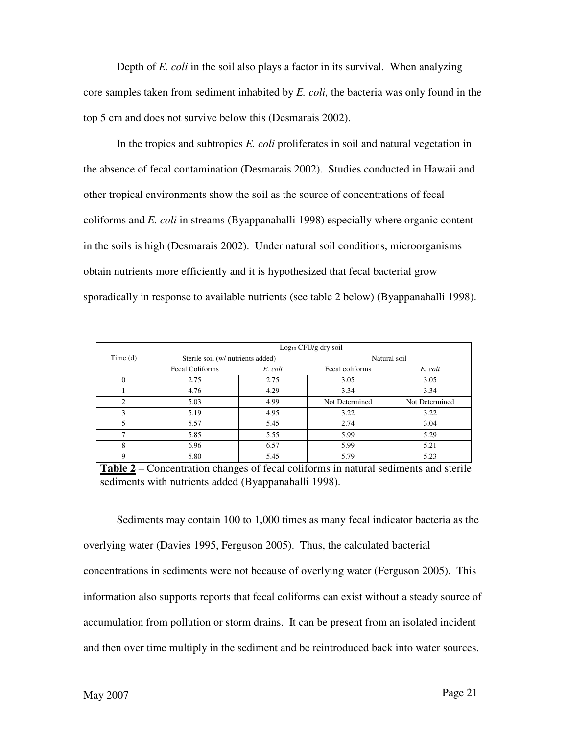Depth of *E. coli* in the soil also plays a factor in its survival. When analyzing core samples taken from sediment inhabited by *E. coli,* the bacteria was only found in the top 5 cm and does not survive below this (Desmarais 2002).

In the tropics and subtropics *E. coli* proliferates in soil and natural vegetation in the absence of fecal contamination (Desmarais 2002). Studies conducted in Hawaii and other tropical environments show the soil as the source of concentrations of fecal coliforms and *E. coli* in streams (Byappanahalli 1998) especially where organic content in the soils is high (Desmarais 2002). Under natural soil conditions, microorganisms obtain nutrients more efficiently and it is hypothesized that fecal bacterial grow sporadically in response to available nutrients (see table 2 below) (Byappanahalli 1998).

|                | $Log10 CFU/g$ dry soil            |         |                 |                |  |  |
|----------------|-----------------------------------|---------|-----------------|----------------|--|--|
| Time $(d)$     | Sterile soil (w/ nutrients added) |         |                 | Natural soil   |  |  |
|                | <b>Fecal Coliforms</b>            | E. coli | Fecal coliforms | E. coli        |  |  |
| 0              | 2.75                              | 2.75    | 3.05            | 3.05           |  |  |
|                | 4.76                              | 4.29    | 3.34            | 3.34           |  |  |
| $\mathfrak{D}$ | 5.03                              | 4.99    | Not Determined  | Not Determined |  |  |
| ٩              | 5.19                              | 4.95    | 3.22            | 3.22           |  |  |
|                | 5.57                              | 5.45    | 2.74            | 3.04           |  |  |
| ┑              | 5.85                              | 5.55    | 5.99            | 5.29           |  |  |
| 8              | 6.96                              | 6.57    | 5.99            | 5.21           |  |  |
| 9              | 5.80                              | 5.45    | 5.79            | 5.23           |  |  |

**Table 2** – Concentration changes of fecal coliforms in natural sediments and sterile sediments with nutrients added (Byappanahalli 1998).

Sediments may contain 100 to 1,000 times as many fecal indicator bacteria as the overlying water (Davies 1995, Ferguson 2005). Thus, the calculated bacterial concentrations in sediments were not because of overlying water (Ferguson 2005). This information also supports reports that fecal coliforms can exist without a steady source of accumulation from pollution or storm drains. It can be present from an isolated incident and then over time multiply in the sediment and be reintroduced back into water sources.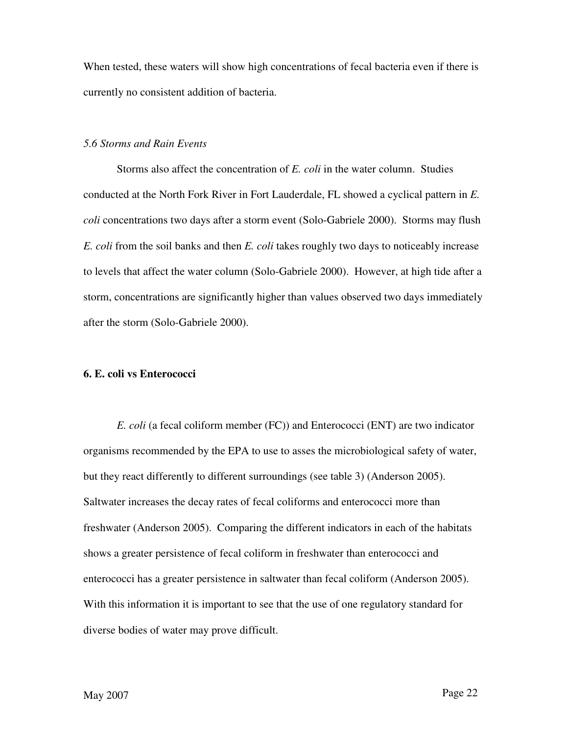When tested, these waters will show high concentrations of fecal bacteria even if there is currently no consistent addition of bacteria.

## *5.6 Storms and Rain Events*

Storms also affect the concentration of *E. coli* in the water column. Studies conducted at the North Fork River in Fort Lauderdale, FL showed a cyclical pattern in *E. coli* concentrations two days after a storm event (Solo-Gabriele 2000). Storms may flush *E. coli* from the soil banks and then *E. coli* takes roughly two days to noticeably increase to levels that affect the water column (Solo-Gabriele 2000). However, at high tide after a storm, concentrations are significantly higher than values observed two days immediately after the storm (Solo-Gabriele 2000).

## **6. E. coli vs Enterococci**

*E. coli* (a fecal coliform member (FC)) and Enterococci (ENT) are two indicator organisms recommended by the EPA to use to asses the microbiological safety of water, but they react differently to different surroundings (see table 3) (Anderson 2005). Saltwater increases the decay rates of fecal coliforms and enterococci more than freshwater (Anderson 2005). Comparing the different indicators in each of the habitats shows a greater persistence of fecal coliform in freshwater than enterococci and enterococci has a greater persistence in saltwater than fecal coliform (Anderson 2005). With this information it is important to see that the use of one regulatory standard for diverse bodies of water may prove difficult.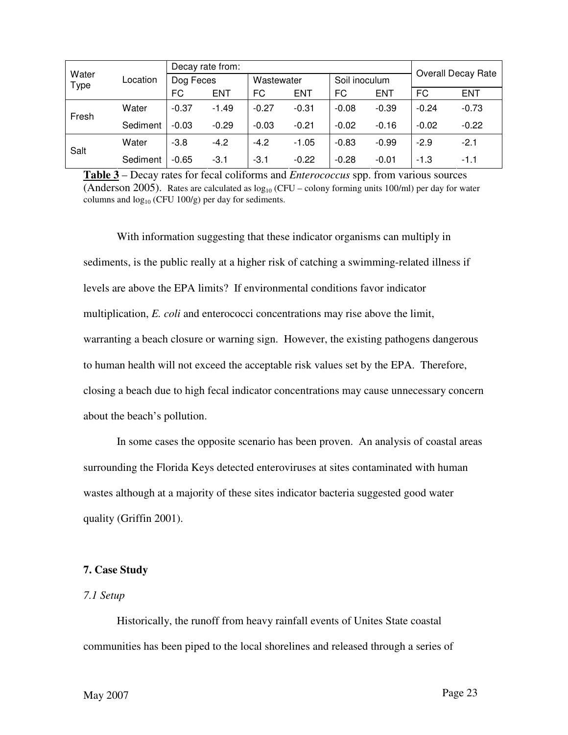| Water<br>Type | Location | Decay rate from: |            |            |            |               |         | <b>Overall Decay Rate</b> |            |
|---------------|----------|------------------|------------|------------|------------|---------------|---------|---------------------------|------------|
|               |          | Dog Feces        |            | Wastewater |            | Soil inoculum |         |                           |            |
|               |          | <b>FC</b>        | <b>ENT</b> | FC         | <b>ENT</b> | FC            | ENT     | <b>FC</b>                 | <b>ENT</b> |
| Fresh         | Water    | $-0.37$          | $-1.49$    | $-0.27$    | $-0.31$    | $-0.08$       | $-0.39$ | $-0.24$                   | $-0.73$    |
|               | Sediment | $-0.03$          | $-0.29$    | $-0.03$    | $-0.21$    | $-0.02$       | $-0.16$ | $-0.02$                   | $-0.22$    |
| Salt          | Water    | $-3.8$           | $-4.2$     | $-4.2$     | $-1.05$    | $-0.83$       | $-0.99$ | $-2.9$                    | $-2.1$     |
|               | Sediment | $-0.65$          | $-3.1$     | $-3.1$     | $-0.22$    | $-0.28$       | $-0.01$ | $-1.3$                    | $-1.1$     |

**Table 3** – Decay rates for fecal coliforms and *Enterococcus* spp. from various sources (Anderson 2005). Rates are calculated as  $log_{10}$  (CFU – colony forming units 100/ml) per day for water columns and  $log_{10}$  (CFU 100/g) per day for sediments.

With information suggesting that these indicator organisms can multiply in sediments, is the public really at a higher risk of catching a swimming-related illness if levels are above the EPA limits? If environmental conditions favor indicator multiplication, *E. coli* and enterococci concentrations may rise above the limit, warranting a beach closure or warning sign. However, the existing pathogens dangerous to human health will not exceed the acceptable risk values set by the EPA. Therefore, closing a beach due to high fecal indicator concentrations may cause unnecessary concern about the beach's pollution.

In some cases the opposite scenario has been proven. An analysis of coastal areas surrounding the Florida Keys detected enteroviruses at sites contaminated with human wastes although at a majority of these sites indicator bacteria suggested good water quality (Griffin 2001).

## **7. Case Study**

## *7.1 Setup*

Historically, the runoff from heavy rainfall events of Unites State coastal communities has been piped to the local shorelines and released through a series of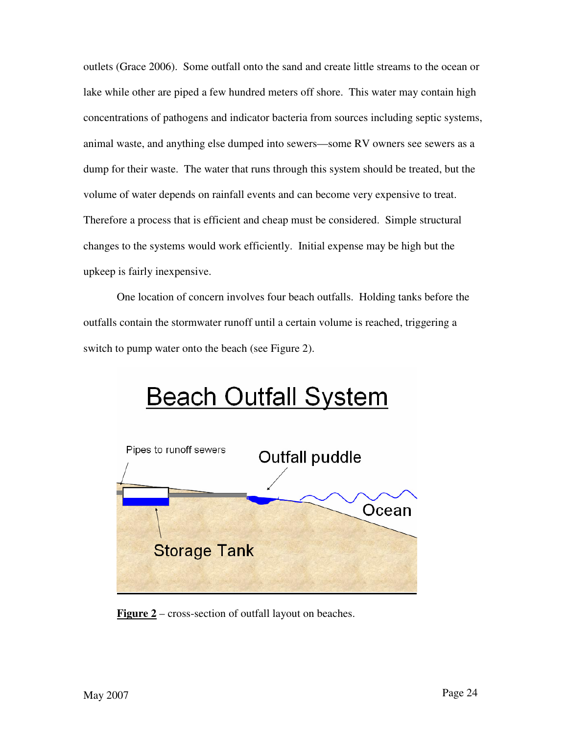outlets (Grace 2006). Some outfall onto the sand and create little streams to the ocean or lake while other are piped a few hundred meters off shore. This water may contain high concentrations of pathogens and indicator bacteria from sources including septic systems, animal waste, and anything else dumped into sewers—some RV owners see sewers as a dump for their waste. The water that runs through this system should be treated, but the volume of water depends on rainfall events and can become very expensive to treat. Therefore a process that is efficient and cheap must be considered. Simple structural changes to the systems would work efficiently. Initial expense may be high but the upkeep is fairly inexpensive.

One location of concern involves four beach outfalls. Holding tanks before the outfalls contain the stormwater runoff until a certain volume is reached, triggering a switch to pump water onto the beach (see Figure 2).



**Figure 2** – cross-section of outfall layout on beaches.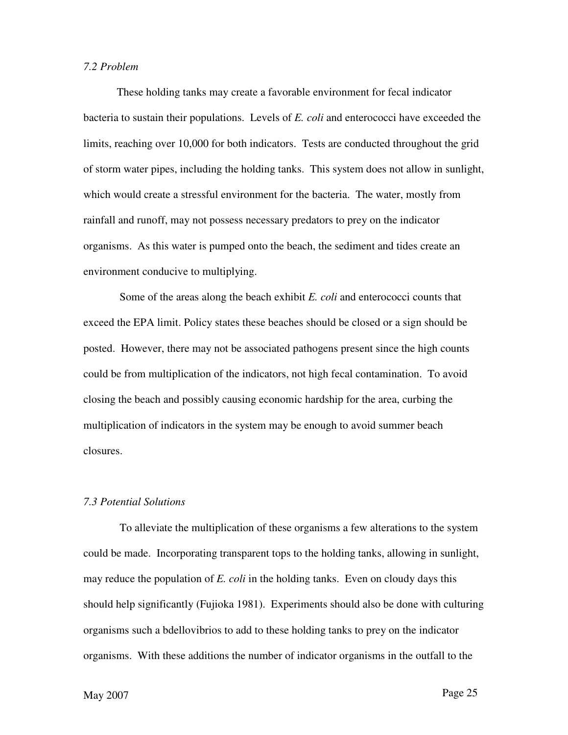#### *7.2 Problem*

These holding tanks may create a favorable environment for fecal indicator bacteria to sustain their populations. Levels of *E. coli* and enterococci have exceeded the limits, reaching over 10,000 for both indicators. Tests are conducted throughout the grid of storm water pipes, including the holding tanks. This system does not allow in sunlight, which would create a stressful environment for the bacteria. The water, mostly from rainfall and runoff, may not possess necessary predators to prey on the indicator organisms. As this water is pumped onto the beach, the sediment and tides create an environment conducive to multiplying.

 Some of the areas along the beach exhibit *E. coli* and enterococci counts that exceed the EPA limit. Policy states these beaches should be closed or a sign should be posted. However, there may not be associated pathogens present since the high counts could be from multiplication of the indicators, not high fecal contamination. To avoid closing the beach and possibly causing economic hardship for the area, curbing the multiplication of indicators in the system may be enough to avoid summer beach closures.

### *7.3 Potential Solutions*

 To alleviate the multiplication of these organisms a few alterations to the system could be made. Incorporating transparent tops to the holding tanks, allowing in sunlight, may reduce the population of *E. coli* in the holding tanks. Even on cloudy days this should help significantly (Fujioka 1981). Experiments should also be done with culturing organisms such a bdellovibrios to add to these holding tanks to prey on the indicator organisms. With these additions the number of indicator organisms in the outfall to the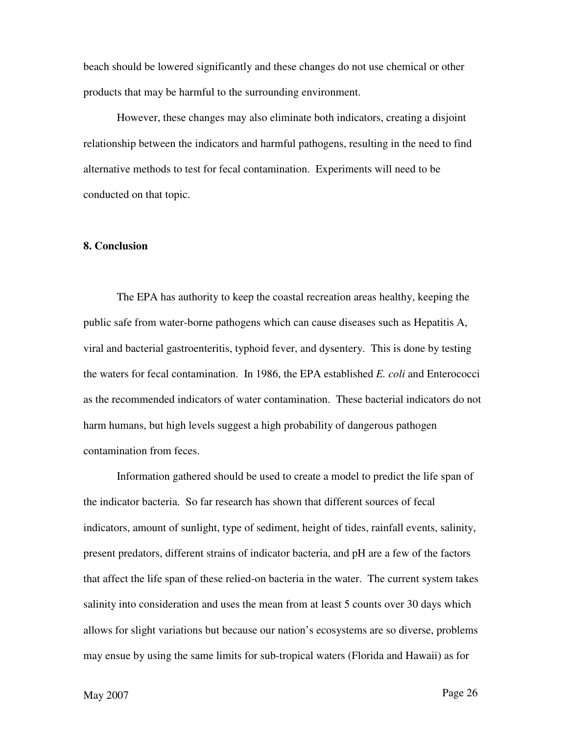beach should be lowered significantly and these changes do not use chemical or other products that may be harmful to the surrounding environment.

However, these changes may also eliminate both indicators, creating a disjoint relationship between the indicators and harmful pathogens, resulting in the need to find alternative methods to test for fecal contamination. Experiments will need to be conducted on that topic.

## **8. Conclusion**

 The EPA has authority to keep the coastal recreation areas healthy, keeping the public safe from water-borne pathogens which can cause diseases such as Hepatitis A, viral and bacterial gastroenteritis, typhoid fever, and dysentery. This is done by testing the waters for fecal contamination. In 1986, the EPA established *E. coli* and Enterococci as the recommended indicators of water contamination. These bacterial indicators do not harm humans, but high levels suggest a high probability of dangerous pathogen contamination from feces.

Information gathered should be used to create a model to predict the life span of the indicator bacteria. So far research has shown that different sources of fecal indicators, amount of sunlight, type of sediment, height of tides, rainfall events, salinity, present predators, different strains of indicator bacteria, and pH are a few of the factors that affect the life span of these relied-on bacteria in the water. The current system takes salinity into consideration and uses the mean from at least 5 counts over 30 days which allows for slight variations but because our nation's ecosystems are so diverse, problems may ensue by using the same limits for sub-tropical waters (Florida and Hawaii) as for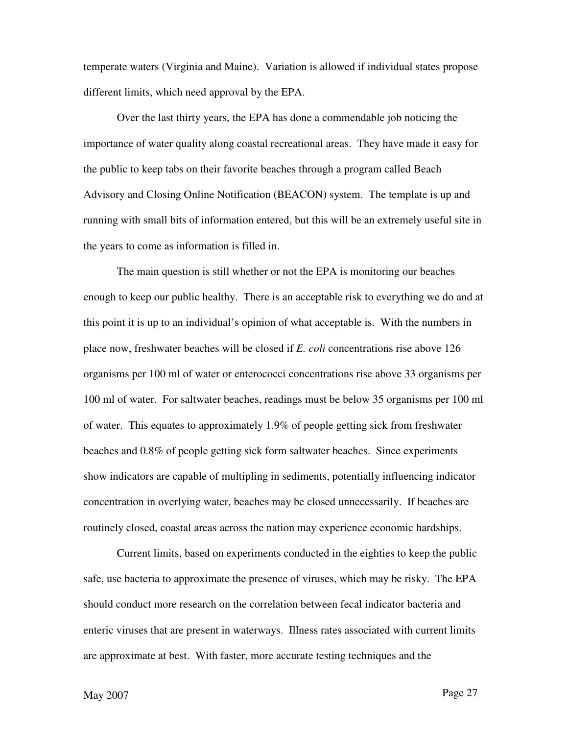temperate waters (Virginia and Maine). Variation is allowed if individual states propose different limits, which need approval by the EPA.

Over the last thirty years, the EPA has done a commendable job noticing the importance of water quality along coastal recreational areas. They have made it easy for the public to keep tabs on their favorite beaches through a program called Beach Advisory and Closing Online Notification (BEACON) system. The template is up and running with small bits of information entered, but this will be an extremely useful site in the years to come as information is filled in.

The main question is still whether or not the EPA is monitoring our beaches enough to keep our public healthy. There is an acceptable risk to everything we do and at this point it is up to an individual's opinion of what acceptable is. With the numbers in place now, freshwater beaches will be closed if *E. coli* concentrations rise above 126 organisms per 100 ml of water or enterococci concentrations rise above 33 organisms per 100 ml of water. For saltwater beaches, readings must be below 35 organisms per 100 ml of water. This equates to approximately 1.9% of people getting sick from freshwater beaches and 0.8% of people getting sick form saltwater beaches. Since experiments show indicators are capable of multipling in sediments, potentially influencing indicator concentration in overlying water, beaches may be closed unnecessarily. If beaches are routinely closed, coastal areas across the nation may experience economic hardships.

Current limits, based on experiments conducted in the eighties to keep the public safe, use bacteria to approximate the presence of viruses, which may be risky. The EPA should conduct more research on the correlation between fecal indicator bacteria and enteric viruses that are present in waterways. Illness rates associated with current limits are approximate at best. With faster, more accurate testing techniques and the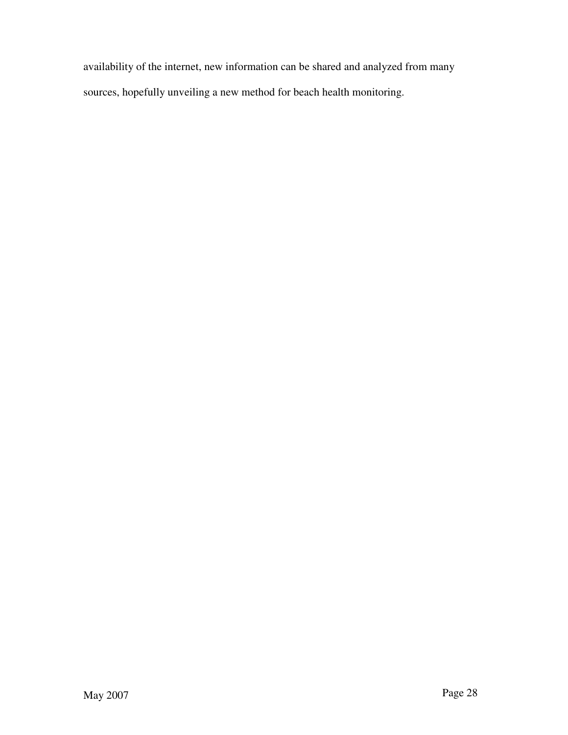availability of the internet, new information can be shared and analyzed from many sources, hopefully unveiling a new method for beach health monitoring.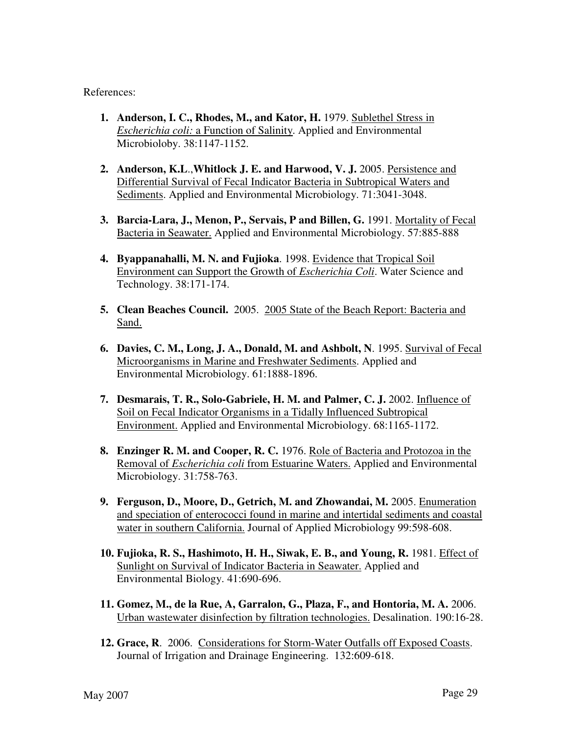References:

- **1. Anderson, I. C., Rhodes, M., and Kator, H.** 1979. Sublethel Stress in *Escherichia coli:* a Function of Salinity. Applied and Environmental Microbioloby. 38:1147-1152.
- **2. Anderson, K.L**.,**Whitlock J. E. and Harwood, V. J.** 2005. Persistence and Differential Survival of Fecal Indicator Bacteria in Subtropical Waters and Sediments. Applied and Environmental Microbiology. 71:3041-3048.
- **3. Barcia-Lara, J., Menon, P., Servais, P and Billen, G.** 1991. Mortality of Fecal Bacteria in Seawater. Applied and Environmental Microbiology. 57:885-888
- **4. Byappanahalli, M. N. and Fujioka**. 1998. Evidence that Tropical Soil Environment can Support the Growth of *Escherichia Coli*. Water Science and Technology. 38:171-174.
- **5. Clean Beaches Council.** 2005. 2005 State of the Beach Report: Bacteria and Sand.
- **6. Davies, C. M., Long, J. A., Donald, M. and Ashbolt, N**. 1995. Survival of Fecal Microorganisms in Marine and Freshwater Sediments. Applied and Environmental Microbiology. 61:1888-1896.
- **7. Desmarais, T. R., Solo-Gabriele, H. M. and Palmer, C. J.** 2002. Influence of Soil on Fecal Indicator Organisms in a Tidally Influenced Subtropical Environment. Applied and Environmental Microbiology. 68:1165-1172.
- **8. Enzinger R. M. and Cooper, R. C.** 1976. Role of Bacteria and Protozoa in the Removal of *Escherichia coli* from Estuarine Waters. Applied and Environmental Microbiology. 31:758-763.
- **9. Ferguson, D., Moore, D., Getrich, M. and Zhowandai, M.** 2005. Enumeration and speciation of enterococci found in marine and intertidal sediments and coastal water in southern California. Journal of Applied Microbiology 99:598-608.
- **10. Fujioka, R. S., Hashimoto, H. H., Siwak, E. B., and Young, R.** 1981. Effect of Sunlight on Survival of Indicator Bacteria in Seawater. Applied and Environmental Biology. 41:690-696.
- **11. Gomez, M., de la Rue, A, Garralon, G., Plaza, F., and Hontoria, M. A.** 2006. Urban wastewater disinfection by filtration technologies. Desalination. 190:16-28.
- **12. Grace, R**. 2006. Considerations for Storm-Water Outfalls off Exposed Coasts. Journal of Irrigation and Drainage Engineering. 132:609-618.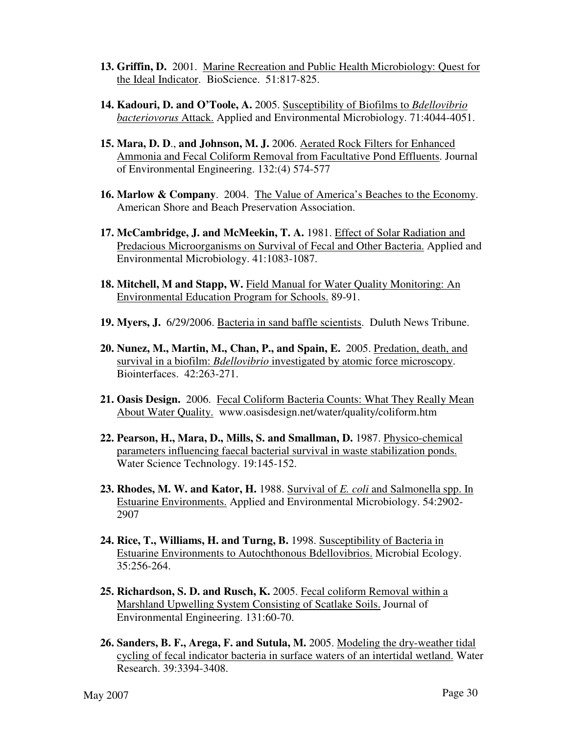- **13. Griffin, D.** 2001. Marine Recreation and Public Health Microbiology: Quest for the Ideal Indicator. BioScience. 51:817-825.
- **14. Kadouri, D. and O'Toole, A.** 2005. Susceptibility of Biofilms to *Bdellovibrio bacteriovorus* Attack. Applied and Environmental Microbiology. 71:4044-4051.
- **15. Mara, D. D**., **and Johnson, M. J.** 2006. Aerated Rock Filters for Enhanced Ammonia and Fecal Coliform Removal from Facultative Pond Effluents. Journal of Environmental Engineering. 132:(4) 574-577
- **16. Marlow & Company**. 2004. The Value of America's Beaches to the Economy. American Shore and Beach Preservation Association.
- **17. McCambridge, J. and McMeekin, T. A.** 1981. Effect of Solar Radiation and Predacious Microorganisms on Survival of Fecal and Other Bacteria. Applied and Environmental Microbiology. 41:1083-1087.
- **18. Mitchell, M and Stapp, W.** Field Manual for Water Quality Monitoring: An Environmental Education Program for Schools. 89-91.
- **19. Myers, J.** 6/29/2006. Bacteria in sand baffle scientists. Duluth News Tribune.
- **20. Nunez, M., Martin, M., Chan, P., and Spain, E.** 2005. Predation, death, and survival in a biofilm: *Bdellovibrio* investigated by atomic force microscopy. Biointerfaces. 42:263-271.
- **21. Oasis Design.** 2006. Fecal Coliform Bacteria Counts: What They Really Mean About Water Quality. www.oasisdesign.net/water/quality/coliform.htm
- **22. Pearson, H., Mara, D., Mills, S. and Smallman, D.** 1987. Physico-chemical parameters influencing faecal bacterial survival in waste stabilization ponds. Water Science Technology. 19:145-152.
- **23. Rhodes, M. W. and Kator, H.** 1988. Survival of *E. coli* and Salmonella spp. In Estuarine Environments. Applied and Environmental Microbiology. 54:2902- 2907
- **24. Rice, T., Williams, H. and Turng, B.** 1998. Susceptibility of Bacteria in Estuarine Environments to Autochthonous Bdellovibrios. Microbial Ecology. 35:256-264.
- **25. Richardson, S. D. and Rusch, K.** 2005. Fecal coliform Removal within a Marshland Upwelling System Consisting of Scatlake Soils. Journal of Environmental Engineering. 131:60-70.
- **26. Sanders, B. F., Arega, F. and Sutula, M.** 2005. Modeling the dry-weather tidal cycling of fecal indicator bacteria in surface waters of an intertidal wetland. Water Research. 39:3394-3408.